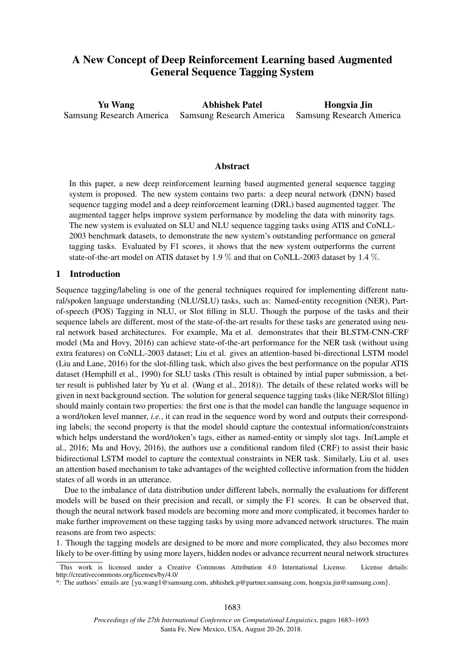# A New Concept of Deep Reinforcement Learning based Augmented General Sequence Tagging System

Yu Wang Samsung Research America Abhishek Patel Samsung Research America Hongxia Jin Samsung Research America

### Abstract

In this paper, a new deep reinforcement learning based augmented general sequence tagging system is proposed. The new system contains two parts: a deep neural network (DNN) based sequence tagging model and a deep reinforcement learning (DRL) based augmented tagger. The augmented tagger helps improve system performance by modeling the data with minority tags. The new system is evaluated on SLU and NLU sequence tagging tasks using ATIS and CoNLL-2003 benchmark datasets, to demonstrate the new system's outstanding performance on general tagging tasks. Evaluated by F1 scores, it shows that the new system outperforms the current state-of-the-art model on ATIS dataset by 1.9 % and that on CoNLL-2003 dataset by 1.4 %.

### 1 Introduction

Sequence tagging/labeling is one of the general techniques required for implementing different natural/spoken language understanding (NLU/SLU) tasks, such as: Named-entity recognition (NER), Partof-speech (POS) Tagging in NLU, or Slot filling in SLU. Though the purpose of the tasks and their sequence labels are different, most of the state-of-the-art results for these tasks are generated using neural network based architectures. For example, Ma et al. demonstrates that their BLSTM-CNN-CRF model (Ma and Hovy, 2016) can achieve state-of-the-art performance for the NER task (without using extra features) on CoNLL-2003 dataset; Liu et al. gives an attention-based bi-directional LSTM model (Liu and Lane, 2016) for the slot-filling task, which also gives the best performance on the popular ATIS dataset (Hemphill et al., 1990) for SLU tasks (This result is obtained by intial paper submission, a better result is published later by Yu et al. (Wang et al., 2018)). The details of these related works will be given in next background section. The solution for general sequence tagging tasks (like NER/Slot filling) should mainly contain two properties: the first one is that the model can handle the language sequence in a word/token level manner, *i.e.*, it can read in the sequence word by word and outputs their corresponding labels; the second property is that the model should capture the contextual information/constraints which helps understand the word/token's tags, either as named-entity or simply slot tags. In(Lample et al., 2016; Ma and Hovy, 2016), the authors use a conditional random filed (CRF) to assist their basic bidirectional LSTM model to capture the contextual constraints in NER task. Similarly, Liu et al. uses an attention based mechanism to take advantages of the weighted collective information from the hidden states of all words in an utterance.

Due to the imbalance of data distribution under different labels, normally the evaluations for different models will be based on their precision and recall, or simply the F1 scores. It can be observed that, though the neural network based models are becoming more and more complicated, it becomes harder to make further improvement on these tagging tasks by using more advanced network structures. The main reasons are from two aspects:

1. Though the tagging models are designed to be more and more complicated, they also becomes more likely to be over-fitting by using more layers, hidden nodes or advance recurrent neural network structures

This work is licensed under a Creative Commons Attribution 4.0 International License. License details: http://creativecommons.org/licenses/by/4.0/

<sup>\*:</sup> The authors' emails are {yu.wang1@samsung.com, abhishek.p@partner.samsung.com, hongxia.jin@samsung.com}.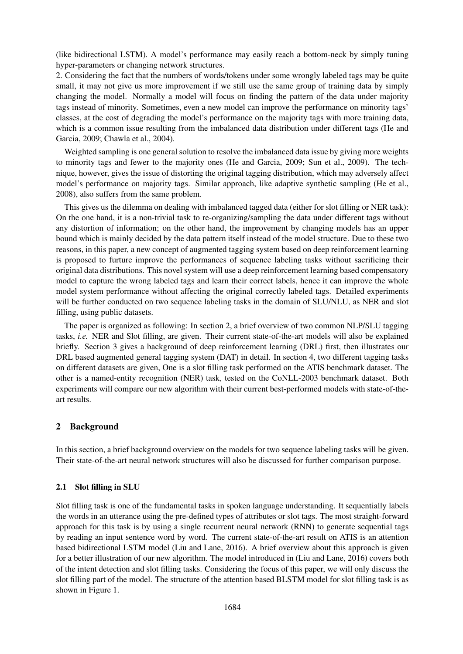(like bidirectional LSTM). A model's performance may easily reach a bottom-neck by simply tuning hyper-parameters or changing network structures.

2. Considering the fact that the numbers of words/tokens under some wrongly labeled tags may be quite small, it may not give us more improvement if we still use the same group of training data by simply changing the model. Normally a model will focus on finding the pattern of the data under majority tags instead of minority. Sometimes, even a new model can improve the performance on minority tags' classes, at the cost of degrading the model's performance on the majority tags with more training data, which is a common issue resulting from the imbalanced data distribution under different tags (He and Garcia, 2009; Chawla et al., 2004).

Weighted sampling is one general solution to resolve the imbalanced data issue by giving more weights to minority tags and fewer to the majority ones (He and Garcia, 2009; Sun et al., 2009). The technique, however, gives the issue of distorting the original tagging distribution, which may adversely affect model's performance on majority tags. Similar approach, like adaptive synthetic sampling (He et al., 2008), also suffers from the same problem.

This gives us the dilemma on dealing with imbalanced tagged data (either for slot filling or NER task): On the one hand, it is a non-trivial task to re-organizing/sampling the data under different tags without any distortion of information; on the other hand, the improvement by changing models has an upper bound which is mainly decided by the data pattern itself instead of the model structure. Due to these two reasons, in this paper, a new concept of augmented tagging system based on deep reinforcement learning is proposed to furture improve the performances of sequence labeling tasks without sacrificing their original data distributions. This novel system will use a deep reinforcement learning based compensatory model to capture the wrong labeled tags and learn their correct labels, hence it can improve the whole model system performance without affecting the original correctly labeled tags. Detailed experiments will be further conducted on two sequence labeling tasks in the domain of SLU/NLU, as NER and slot filling, using public datasets.

The paper is organized as following: In section 2, a brief overview of two common NLP/SLU tagging tasks, *i.e.* NER and Slot filling, are given. Their current state-of-the-art models will also be explained briefly. Section 3 gives a background of deep reinforcement learning (DRL) first, then illustrates our DRL based augmented general tagging system (DAT) in detail. In section 4, two different tagging tasks on different datasets are given, One is a slot filling task performed on the ATIS benchmark dataset. The other is a named-entity recognition (NER) task, tested on the CoNLL-2003 benchmark dataset. Both experiments will compare our new algorithm with their current best-performed models with state-of-theart results.

# 2 Background

In this section, a brief background overview on the models for two sequence labeling tasks will be given. Their state-of-the-art neural network structures will also be discussed for further comparison purpose.

### 2.1 Slot filling in SLU

Slot filling task is one of the fundamental tasks in spoken language understanding. It sequentially labels the words in an utterance using the pre-defined types of attributes or slot tags. The most straight-forward approach for this task is by using a single recurrent neural network (RNN) to generate sequential tags by reading an input sentence word by word. The current state-of-the-art result on ATIS is an attention based bidirectional LSTM model (Liu and Lane, 2016). A brief overview about this approach is given for a better illustration of our new algorithm. The model introduced in (Liu and Lane, 2016) covers both of the intent detection and slot filling tasks. Considering the focus of this paper, we will only discuss the slot filling part of the model. The structure of the attention based BLSTM model for slot filling task is as shown in Figure 1.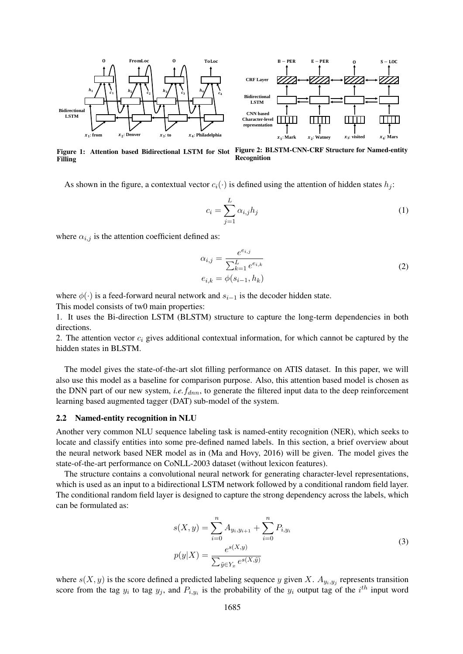



Figure 1: Attention based Bidirectional LSTM for Slot Figure 2: BLSTM-CNN-CRF Structure for Named-entity Filling Recognition

As shown in the figure, a contextual vector  $c_i(\cdot)$  is defined using the attention of hidden states  $h_i$ :

$$
c_i = \sum_{j=1}^{L} \alpha_{i,j} h_j \tag{1}
$$

where  $\alpha_{i,j}$  is the attention coefficient defined as:

$$
\alpha_{i,j} = \frac{e^{e_{i,j}}}{\sum_{k=1}^{L} e^{e_{i,k}}}
$$
\n
$$
e_{i,k} = \phi(s_{i-1}, h_k)
$$
\n(2)

where  $\phi(\cdot)$  is a feed-forward neural network and  $s_{i-1}$  is the decoder hidden state. This model consists of tw0 main properties:

1. It uses the Bi-direction LSTM (BLSTM) structure to capture the long-term dependencies in both directions.

2. The attention vector  $c_i$  gives additional contextual information, for which cannot be captured by the hidden states in BLSTM.

The model gives the state-of-the-art slot filling performance on ATIS dataset. In this paper, we will also use this model as a baseline for comparison purpose. Also, this attention based model is chosen as the DNN part of our new system, *i.e.*  $f_{dnn}$ , to generate the filtered input data to the deep reinforcement learning based augmented tagger (DAT) sub-model of the system.

#### 2.2 Named-entity recognition in NLU

Another very common NLU sequence labeling task is named-entity recognition (NER), which seeks to locate and classify entities into some pre-defined named labels. In this section, a brief overview about the neural network based NER model as in (Ma and Hovy, 2016) will be given. The model gives the state-of-the-art performance on CoNLL-2003 dataset (without lexicon features).

The structure contains a convolutional neural network for generating character-level representations, which is used as an input to a bidirectional LSTM network followed by a conditional random field layer. The conditional random field layer is designed to capture the strong dependency across the labels, which can be formulated as:

$$
s(X, y) = \sum_{i=0}^{n} A_{y_i, y_{i+1}} + \sum_{i=0}^{n} P_{i, y_i}
$$
  

$$
p(y|X) = \frac{e^{s(X, y)}}{\sum_{\tilde{y} \in Y_x} e^{s(X, \tilde{y})}}
$$
 (3)

where  $s(X, y)$  is the score defined a predicted labeling sequence y given X.  $A_{y_i, y_j}$  represents transition score from the tag  $y_i$  to tag  $y_j$ , and  $P_{i,y_i}$  is the probability of the  $y_i$  output tag of the  $i^{th}$  input word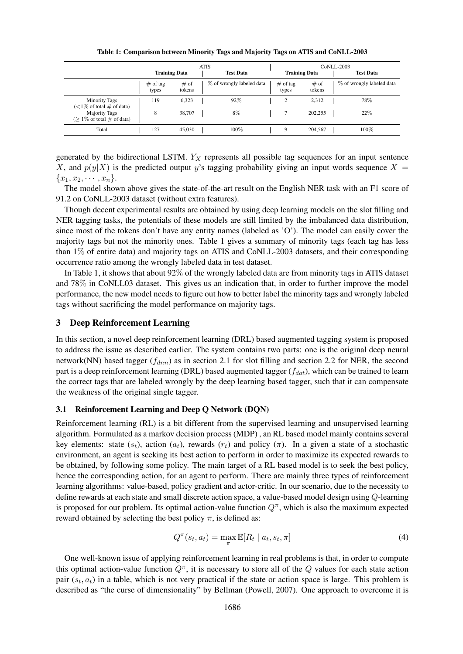Table 1: Comparison between Minority Tags and Majority Tags on ATIS and CoNLL-2003

|                                                          | <b>ATIS</b>          |                |  |                           | <b>CoNLL-2003</b> |                      |                |  |                           |
|----------------------------------------------------------|----------------------|----------------|--|---------------------------|-------------------|----------------------|----------------|--|---------------------------|
|                                                          | <b>Training Data</b> |                |  | <b>Test Data</b>          |                   | <b>Training Data</b> |                |  | <b>Test Data</b>          |
|                                                          | $#$ of tag<br>types  | # of<br>tokens |  | % of wrongly labeled data |                   | $#$ of tag<br>types  | # of<br>tokens |  | % of wrongly labeled data |
| <b>Minority Tags</b><br>$(<1\%$ of total $\#$ of data)   | 119                  | 6,323          |  | 92%                       |                   | $\overline{c}$       | 2,312          |  | 78%                       |
| <b>Majority Tags</b><br>$($ > 1\% of total $\#$ of data) | 8                    | 38,707         |  | 8%                        |                   |                      | 202,255        |  | 22%                       |
| Total                                                    | 127                  | 45,030         |  | 100%                      |                   | 9                    | 204.567        |  | 100%                      |

generated by the bidirectional LSTM.  $Y_X$  represents all possible tag sequences for an input sentence X, and  $p(y|X)$  is the predicted output y's tagging probability giving an input words sequence X =  ${x_1, x_2, \cdots, x_n}.$ 

The model shown above gives the state-of-the-art result on the English NER task with an F1 score of 91.2 on CoNLL-2003 dataset (without extra features).

Though decent experimental results are obtained by using deep learning models on the slot filling and NER tagging tasks, the potentials of these models are still limited by the imbalanced data distribution, since most of the tokens don't have any entity names (labeled as 'O'). The model can easily cover the majority tags but not the minority ones. Table 1 gives a summary of minority tags (each tag has less than 1% of entire data) and majority tags on ATIS and CoNLL-2003 datasets, and their corresponding occurrence ratio among the wrongly labeled data in test dataset.

In Table 1, it shows that about 92% of the wrongly labeled data are from minority tags in ATIS dataset and 78% in CoNLL03 dataset. This gives us an indication that, in order to further improve the model performance, the new model needs to figure out how to better label the minority tags and wrongly labeled tags without sacrificing the model performance on majority tags.

#### 3 Deep Reinforcement Learning

In this section, a novel deep reinforcement learning (DRL) based augmented tagging system is proposed to address the issue as described earlier. The system contains two parts: one is the original deep neural network(NN) based tagger ( $f_{dnn}$ ) as in section 2.1 for slot filling and section 2.2 for NER, the second part is a deep reinforcement learning (DRL) based augmented tagger  $(f_{dat})$ , which can be trained to learn the correct tags that are labeled wrongly by the deep learning based tagger, such that it can compensate the weakness of the original single tagger.

#### 3.1 Reinforcement Learning and Deep Q Network (DQN)

Reinforcement learning (RL) is a bit different from the supervised learning and unsupervised learning algorithm. Formulated as a markov decision process (MDP) , an RL based model mainly contains several key elements: state  $(s_t)$ , action  $(a_t)$ , rewards  $(r_t)$  and policy  $(\pi)$ . In a given a state of a stochastic environment, an agent is seeking its best action to perform in order to maximize its expected rewards to be obtained, by following some policy. The main target of a RL based model is to seek the best policy, hence the corresponding action, for an agent to perform. There are mainly three types of reinforcement learning algorithms: value-based, policy gradient and actor-critic. In our scenario, due to the necessity to define rewards at each state and small discrete action space, a value-based model design using Q-learning is proposed for our problem. Its optimal action-value function  $Q^{\pi}$ , which is also the maximum expected reward obtained by selecting the best policy  $\pi$ , is defined as:

$$
Q^{\pi}(s_t, a_t) = \max_{\pi} \mathbb{E}[R_t \mid a_t, s_t, \pi]
$$
\n(4)

One well-known issue of applying reinforcement learning in real problems is that, in order to compute this optimal action-value function  $Q^{\pi}$ , it is necessary to store all of the Q values for each state action pair  $(s_t, a_t)$  in a table, which is not very practical if the state or action space is large. This problem is described as "the curse of dimensionality" by Bellman (Powell, 2007). One approach to overcome it is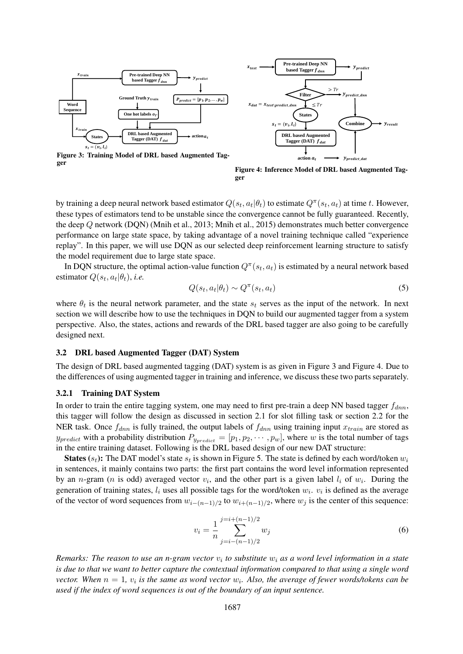

**Pre-trained Deep NN based Tagger**  $f_{dn}$ **DRL based Augmented Tagger (DAT) States**  $y_{predict}$ **action**  $x_{test}$  $s_t = (v_i, l_i)$ **Filter** \_ *Ypredict\_da*  $>Tr$  $= x_{test\setminus predict\_dnn}$   $\leq T_1$ Combine  $\rightarrow y_{result}$ 

Figure 3: Training Model of DRL based Augmented Tagger

Figure 4: Inference Model of DRL based Augmented Tagger

by training a deep neural network based estimator  $Q(s_t,a_t|\theta_t)$  to estimate  $Q^\pi(s_t,a_t)$  at time  $t.$  However, these types of estimators tend to be unstable since the convergence cannot be fully guaranteed. Recently, the deep Q network (DQN) (Mnih et al., 2013; Mnih et al., 2015) demonstrates much better convergence performance on large state space, by taking advantage of a novel training technique called "experience replay". In this paper, we will use DQN as our selected deep reinforcement learning structure to satisfy the model requirement due to large state space.

In DQN structure, the optimal action-value function  $Q^{\pi}(s_t, a_t)$  is estimated by a neural network based estimator  $Q(s_t, a_t | \theta_t)$ , *i.e.* 

$$
Q(s_t, a_t | \theta_t) \sim Q^{\pi}(s_t, a_t)
$$
\n<sup>(5)</sup>

where  $\theta_t$  is the neural network parameter, and the state  $s_t$  serves as the input of the network. In next section we will describe how to use the techniques in DQN to build our augmented tagger from a system perspective. Also, the states, actions and rewards of the DRL based tagger are also going to be carefully designed next.

#### 3.2 DRL based Augmented Tagger (DAT) System

The design of DRL based augmented tagging (DAT) system is as given in Figure 3 and Figure 4. Due to the differences of using augmented tagger in training and inference, we discuss these two parts separately.

#### 3.2.1 Training DAT System

In order to train the entire tagging system, one may need to first pre-train a deep NN based tagger  $f_{dnn}$ , this tagger will follow the design as discussed in section 2.1 for slot filling task or section 2.2 for the NER task. Once  $f_{dmn}$  is fully trained, the output labels of  $f_{dmn}$  using training input  $x_{train}$  are stored as  $y_{predict}$  with a probability distribution  $P_{y_{predict}} = [p_1, p_2, \dots, p_w]$ , where w is the total number of tags in the entire training dataset. Following is the DRL based design of our new DAT structure:

**States** ( $s_t$ ): The DAT model's state  $s_t$  is shown in Figure 5. The state is defined by each word/token  $w_i$ in sentences, it mainly contains two parts: the first part contains the word level information represented by an *n*-gram (*n* is odd) averaged vector  $v_i$ , and the other part is a given label  $l_i$  of  $w_i$ . During the generation of training states,  $l_i$  uses all possible tags for the word/token  $w_i$ .  $v_i$  is defined as the average of the vector of word sequences from  $w_{i-(n-1)/2}$  to  $w_{i+(n-1)/2}$ , where  $w_j$  is the center of this sequence:

$$
v_i = \frac{1}{n} \sum_{j=i-(n-1)/2}^{j=i+(n-1)/2} w_j
$$
\n(6)

*Remarks: The reason to use an n-gram vector* v<sup>i</sup> *to substitute* w<sup>i</sup> *as a word level information in a state is due to that we want to better capture the contextual information compared to that using a single word vector.* When  $n = 1$ ,  $v_i$  is the same as word vector  $w_i$ . Also, the average of fewer words/tokens can be *used if the index of word sequences is out of the boundary of an input sentence.*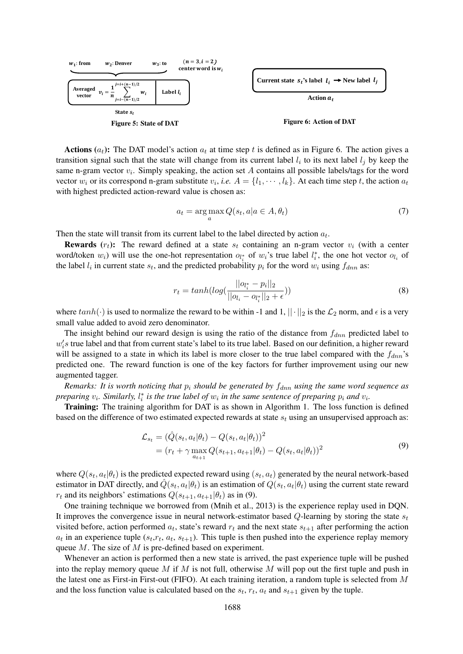

**Actions**  $(a_t)$ : The DAT model's action  $a_t$  at time step t is defined as in Figure 6. The action gives a transition signal such that the state will change from its current label  $l_i$  to its next label  $l_j$  by keep the same n-gram vector  $v_i$ . Simply speaking, the action set A contains all possible labels/tags for the word vector  $w_i$  or its correspond n-gram substitute  $v_i$ , *i.e.*  $A = \{l_1, \dots, l_k\}$ . At each time step t, the action  $a_t$ with highest predicted action-reward value is chosen as:

$$
a_t = \arg\max_a Q(s_t, a | a \in A, \theta_t)
$$
\n<sup>(7)</sup>

Then the state will transit from its current label to the label directed by action  $a_t$ .

**Rewards**  $(r_t)$ : The reward defined at a state  $s_t$  containing an n-gram vector  $v_i$  (with a center word/token  $w_i$ ) will use the one-hot representation  $o_{l_i}$  of  $w_i$ 's true label  $l_i^*$ , the one hot vector  $o_{l_i}$  of the label  $l_i$  in current state  $s_t$ , and the predicted probability  $p_i$  for the word  $w_i$  using  $f_{dnn}$  as:

$$
r_{t} = tanh(log(\frac{||o_{l_{i}^{*}} - p_{i}||_{2}}{||o_{l_{i}} - o_{l_{i}^{*}}||_{2} + \epsilon}))
$$
\n(8)

where  $tanh(\cdot)$  is used to normalize the reward to be within -1 and 1,  $||\cdot||_2$  is the  $\mathcal{L}_2$  norm, and  $\epsilon$  is a very small value added to avoid zero denominator.

The insight behind our reward design is using the ratio of the distance from  $f_{dnn}$  predicted label to  $w_i$ 's true label and that from current state's label to its true label. Based on our definition, a higher reward will be assigned to a state in which its label is more closer to the true label compared with the  $f_{dm}$ 's predicted one. The reward function is one of the key factors for further improvement using our new augmented tagger.

*Remarks: It is worth noticing that*  $p_i$  *should be generated by*  $f_{dnn}$  *using the same word sequence as preparing*  $v_i$ *. Similarly,*  $l_i^*$  *is the true label of*  $w_i$  *in the same sentence of preparing*  $p_i$  *and*  $v_i$ *.* 

**Training:** The training algorithm for DAT is as shown in Algorithm 1. The loss function is defined based on the difference of two estimated expected rewards at state  $s_t$  using an unsupervised approach as:

$$
\mathcal{L}_{s_t} = (\hat{Q}(s_t, a_t | \theta_t) - Q(s_t, a_t | \theta_t))^2 \n= (r_t + \gamma \max_{a_{t+1}} Q(s_{t+1}, a_{t+1} | \theta_t) - Q(s_t, a_t | \theta_t))^2
$$
\n(9)

where  $Q(s_t, a_t | \theta_t)$  is the predicted expected reward using  $(s_t, a_t)$  generated by the neural network-based estimator in DAT directly, and  $\hat{Q}(s_t, a_t | \theta_t)$  is an estimation of  $Q(s_t, a_t | \theta_t)$  using the current state reward  $r_t$  and its neighbors' estimations  $Q(s_{t+1}, a_{t+1}|\theta_t)$  as in (9).

One training technique we borrowed from (Mnih et al., 2013) is the experience replay used in DQN. It improves the convergence issue in neural network-estimator based  $Q$ -learning by storing the state  $s_t$ visited before, action performed  $a_t$ , state's reward  $r_t$  and the next state  $s_{t+1}$  after performing the action  $a_t$  in an experience tuple  $(s_t, r_t, a_t, s_{t+1})$ . This tuple is then pushed into the experience replay memory queue M. The size of M is pre-defined based on experiment.

Whenever an action is performed then a new state is arrived, the past experience tuple will be pushed into the replay memory queue M if M is not full, otherwise M will pop out the first tuple and push in the latest one as First-in First-out (FIFO). At each training iteration, a random tuple is selected from  $M$ and the loss function value is calculated based on the  $s_t$ ,  $r_t$ ,  $a_t$  and  $s_{t+1}$  given by the tuple.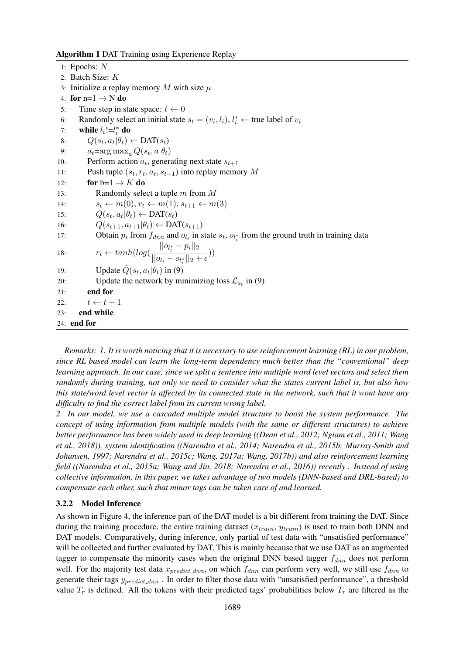Algorithm 1 DAT Training using Experience Replay

1: Epochs: N 2: Batch Size: K 3: Initialize a replay memory M with size  $\mu$ 4: for  $n=1 \rightarrow N$  do 5: Time step in state space:  $t \leftarrow 0$ 6: Randomly select an initial state  $s_t = (v_i, l_i)$ ,  $l_i^* \leftarrow$  true label of  $v_i$ 7: while  $l_i!=l_i^*$  do 8:  $Q(s_t, a_t | \theta_t) \leftarrow \text{DAT}(s_t)$ 9:  $a_t = \arg \max_a Q(s_t, a | \theta_t)$ 10: Perform action  $a_t$ , generating next state  $s_{t+1}$ 11: Push tuple  $(s_t, r_t, a_t, s_{t+1})$  into replay memory M 12: for  $b=1 \rightarrow K$  do 13: Randomly select a tuple m from M 14:  $s_t \leftarrow m(0), r_t \leftarrow m(1), s_{t+1} \leftarrow m(3)$ 15:  $Q(s_t, a_t | \theta_t) \leftarrow \text{DAT}(s_t)$ 16:  $Q(s_{t+1}, a_{t+1}|\theta_t) \leftarrow \text{DAT}(s_{t+1})$ 17: Obtain  $p_i$  from  $f_{dnn}$  and  $o_{l_i}$  in state  $s_t$ ,  $o_{l_i^*}$  from the ground truth in training data 18:  $r_t \leftarrow tanh(log($  $||o_{l_i^*} - p_i||_2$  $\frac{1}{\|o_{l_i} - o_{l_i^*}\|_2 + \epsilon})$ 19: Update  $\hat{Q}(s_t, a_t | \theta_t)$  in (9) 20: Update the network by minimizing loss  $\mathcal{L}_{s_t}$  in (9) 21: end for 22:  $t \leftarrow t + 1$ 23: end while 24: end for

*Remarks: 1. It is worth noticing that it is necessary to use reinforcement learning (RL) in our problem, since RL based model can learn the long-term dependency much better than the "conventional" deep learning approach. In our case, since we split a sentence into multiple word level vectors and select them randomly during training, not only we need to consider what the states current label is, but also how this state/word level vector is affected by its connected state in the network, such that it wont have any difficulty to find the correct label from its current wrong label.*

*2. In our model, we use a cascaded multiple model structure to boost the system performance. The concept of using information from multiple models (with the same or different structures) to achieve better performance has been widely used in deep learning ((Dean et al., 2012; Ngiam et al., 2011; Wang et al., 2018)), system identification ((Narendra et al., 2014; Narendra et al., 2015b; Murray-Smith and Johansen, 1997; Narendra et al., 2015c; Wang, 2017a; Wang, 2017b)) and also reinforcement learning field ((Narendra et al., 2015a; Wang and Jin, 2018; Narendra et al., 2016)) recently . Instead of using collective information, in this paper, we takes advantage of two models (DNN-based and DRL-based) to compensate each other, such that minor tags can be taken care of and learned.*

### 3.2.2 Model Inference

As shown in Figure 4, the inference part of the DAT model is a bit different from training the DAT. Since during the training procedure, the entire training dataset  $(x_{train}, y_{train})$  is used to train both DNN and DAT models. Comparatively, during inference, only partial of test data with "unsatisfied performance" will be collected and further evaluated by DAT. This is mainly because that we use DAT as an augmented tagger to compensate the minority cases when the original DNN based tagger  $f_{dnn}$  does not perform well. For the majority test data  $x_{predict\_dnn}$ , on which  $f_{dnn}$  can perform very well, we still use  $f_{dnn}$  to generate their tags  $y_{predict\_dnn}$ . In order to filter those data with "unsatisfied performance", a threshold value  $T_r$  is defined. All the tokens with their predicted tags' probabilities below  $T_r$  are filtered as the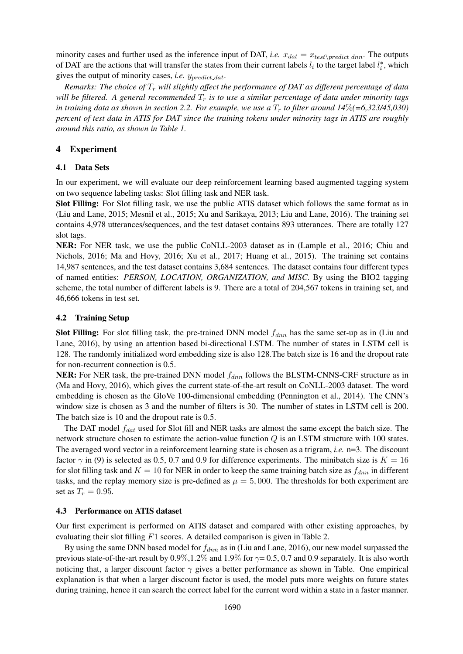minority cases and further used as the inference input of DAT, *i.e.*  $x_{dat} = x_{test\cdot predict\_dnn}$ . The outputs of DAT are the actions that will transfer the states from their current labels  $l_i$  to the target label  $l_i^*$ , which gives the output of minority cases, *i.e.*  $y_{predict\_dat}$ .

*Remarks: The choice of* T<sup>r</sup> *will slightly affect the performance of DAT as different percentage of data will be filtered. A general recommended*  $T_r$  *is to use a similar percentage of data under minority tags* in training data as shown in section 2.2. For example, we use a  $T_r$  to filter around  $14\% (=6,323/45,030)$ *percent of test data in ATIS for DAT since the training tokens under minority tags in ATIS are roughly around this ratio, as shown in Table 1.*

# 4 Experiment

# 4.1 Data Sets

In our experiment, we will evaluate our deep reinforcement learning based augmented tagging system on two sequence labeling tasks: Slot filling task and NER task.

Slot Filling: For Slot filling task, we use the public ATIS dataset which follows the same format as in (Liu and Lane, 2015; Mesnil et al., 2015; Xu and Sarikaya, 2013; Liu and Lane, 2016). The training set contains 4,978 utterances/sequences, and the test dataset contains 893 utterances. There are totally 127 slot tags.

NER: For NER task, we use the public CoNLL-2003 dataset as in (Lample et al., 2016; Chiu and Nichols, 2016; Ma and Hovy, 2016; Xu et al., 2017; Huang et al., 2015). The training set contains 14,987 sentences, and the test dataset contains 3,684 sentences. The dataset contains four different types of named entities: *PERSON, LOCATION, ORGANIZATION, and MISC*. By using the BIO2 tagging scheme, the total number of different labels is 9. There are a total of 204,567 tokens in training set, and 46,666 tokens in test set.

# 4.2 Training Setup

Slot Filling: For slot filling task, the pre-trained DNN model  $f_{dnn}$  has the same set-up as in (Liu and Lane, 2016), by using an attention based bi-directional LSTM. The number of states in LSTM cell is 128. The randomly initialized word embedding size is also 128.The batch size is 16 and the dropout rate for non-recurrent connection is 0.5.

**NER:** For NER task, the pre-trained DNN model  $f_{dnn}$  follows the BLSTM-CNNS-CRF structure as in (Ma and Hovy, 2016), which gives the current state-of-the-art result on CoNLL-2003 dataset. The word embedding is chosen as the GloVe 100-dimensional embedding (Pennington et al., 2014). The CNN's window size is chosen as 3 and the number of filters is 30. The number of states in LSTM cell is 200. The batch size is 10 and the dropout rate is 0.5.

The DAT model  $f_{dat}$  used for Slot fill and NER tasks are almost the same except the batch size. The network structure chosen to estimate the action-value function Q is an LSTM structure with 100 states. The averaged word vector in a reinforcement learning state is chosen as a trigram, *i.e.* n=3. The discount factor  $\gamma$  in (9) is selected as 0.5, 0.7 and 0.9 for difference experiments. The minibatch size is  $K = 16$ for slot filling task and  $K = 10$  for NER in order to keep the same training batch size as  $f_{dnn}$  in different tasks, and the replay memory size is pre-defined as  $\mu = 5,000$ . The thresholds for both experiment are set as  $T_r = 0.95$ .

# 4.3 Performance on ATIS dataset

Our first experiment is performed on ATIS dataset and compared with other existing approaches, by evaluating their slot filling F1 scores. A detailed comparison is given in Table 2.

By using the same DNN based model for  $f_{dmn}$  as in (Liu and Lane, 2016), our new model surpassed the previous state-of-the-art result by  $0.9\%, 1.2\%$  and  $1.9\%$  for  $\gamma = 0.5$ , 0.7 and 0.9 separately. It is also worth noticing that, a larger discount factor  $\gamma$  gives a better performance as shown in Table. One empirical explanation is that when a larger discount factor is used, the model puts more weights on future states during training, hence it can search the correct label for the current word within a state in a faster manner.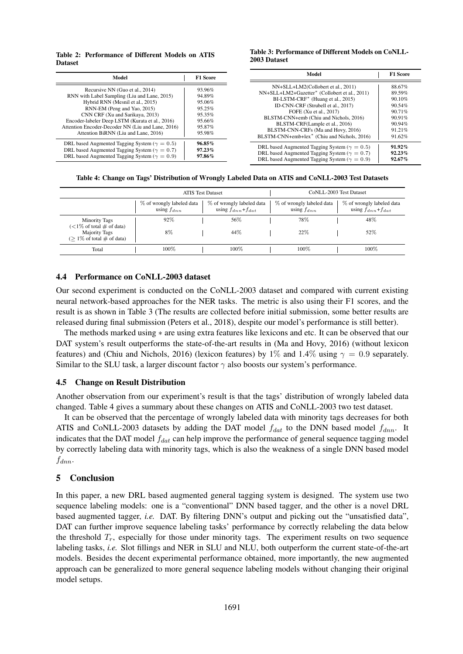#### Table 2: Performance of Different Models on ATIS Dataset

#### Table 3: Performance of Different Models on CoNLL-2003 Dataset

| Model                                                                                                                                                                                                                                                                                                                                 | <b>F1 Score</b>                                                              | Model                                                                                                                                                                                                                                                                                                                                                                                         | <b>F1 Score</b>                                                                           |
|---------------------------------------------------------------------------------------------------------------------------------------------------------------------------------------------------------------------------------------------------------------------------------------------------------------------------------------|------------------------------------------------------------------------------|-----------------------------------------------------------------------------------------------------------------------------------------------------------------------------------------------------------------------------------------------------------------------------------------------------------------------------------------------------------------------------------------------|-------------------------------------------------------------------------------------------|
| Recursive NN (Guo et al., 2014)<br>RNN with Label Sampling (Liu and Lane, 2015)<br>Hybrid RNN (Mesnil et al., 2015)<br>RNN-EM (Peng and Yao, 2015)<br>CNN CRF (Xu and Sarikaya, 2013)<br>Encoder-labeler Deep LSTM (Kurata et al., 2016)<br>Attention Encoder-Decoder NN (Liu and Lane, 2016)<br>Attention BiRNN (Liu and Lane, 2016) | 93.96%<br>94.89%<br>95.06%<br>95.25%<br>95.35%<br>95.66%<br>95.87%<br>95.98% | NN+SLL+LM2(Collobert et al., 2011)<br>NN+SLL+LM2+Gazetter <sup>*</sup> (Collobert et al., 2011)<br>BI-LSTM-CRF <sup>*</sup> (Huang et al., 2015)<br>ID-CNN-CRF (Strubell et al., 2017)<br>FOFE (Xu et al., 2017)<br>BLSTM-CNN+emb (Chiu and Nichols, 2016)<br>BLSTM-CRF(Lample et al., 2016)<br>BLSTM-CNN-CRFs (Ma and Hovy, 2016)<br>BLSTM-CNN+emb+lex <sup>*</sup> (Chiu and Nichols, 2016) | 88.67%<br>89.59%<br>90.10%<br>90.54%<br>$90.71\%$<br>90.91%<br>90.94%<br>91.21%<br>91.62% |
| DRL based Augmented Tagging System ( $\gamma = 0.5$ )<br>DRL based Augmented Tagging System ( $\gamma = 0.7$ )<br>DRL based Augmented Tagging System ( $\gamma = 0.9$ )                                                                                                                                                               | $96.85\%$<br>97.23%<br>97.86%                                                | DRL based Augmented Tagging System ( $\gamma = 0.5$ )<br>DRL based Augmented Tagging System ( $\gamma = 0.7$ )<br>DRL based Augmented Tagging System ( $\gamma = 0.9$ )                                                                                                                                                                                                                       | $91.92\%$<br>$92.23\%$<br>$92.67\%$                                                       |

Table 4: Change on Tags' Distribution of Wrongly Labeled Data on ATIS and CoNLL-2003 Test Datasets

|                                                                                |                                              | <b>ATIS Test Dataset</b>                               | CoNLL-2003 Test Dataset                      |                                                      |  |  |
|--------------------------------------------------------------------------------|----------------------------------------------|--------------------------------------------------------|----------------------------------------------|------------------------------------------------------|--|--|
|                                                                                | % of wrongly labeled data<br>using $f_{dnn}$ | % of wrongly labeled data<br>using $f_{dnn} + f_{dat}$ | % of wrongly labeled data<br>using $f_{dnn}$ | % of wrongly labeled data<br>using $f_{dnn}+f_{dat}$ |  |  |
| <b>Minority Tags</b><br>$(<1\%$ of total $\#$ of data)<br><b>Majority Tags</b> | 92%<br>8%                                    | 56%<br>44%                                             | 78%<br>22%                                   | 48%<br>52%                                           |  |  |
| $($ > 1\% of total $\#$ of data)<br>Total                                      | $100\%$                                      | 100%                                                   | 100%                                         | 100%                                                 |  |  |

### 4.4 Performance on CoNLL-2003 dataset

Our second experiment is conducted on the CoNLL-2003 dataset and compared with current existing neural network-based approaches for the NER tasks. The metric is also using their F1 scores, and the result is as shown in Table 3 (The results are collected before initial submission, some better results are released during final submission (Peters et al., 2018), despite our model's performance is still better).

The methods marked using ∗ are using extra features like lexicons and etc. It can be observed that our DAT system's result outperforms the state-of-the-art results in (Ma and Hovy, 2016) (without lexicon features) and (Chiu and Nichols, 2016) (lexicon features) by 1% and 1.4% using  $\gamma = 0.9$  separately. Similar to the SLU task, a larger discount factor  $\gamma$  also boosts our system's performance.

# 4.5 Change on Result Distribution

Another observation from our experiment's result is that the tags' distribution of wrongly labeled data changed. Table 4 gives a summary about these changes on ATIS and CoNLL-2003 two test dataset.

It can be observed that the percentage of wrongly labeled data with minority tags decreases for both ATIS and CoNLL-2003 datasets by adding the DAT model  $f_{dat}$  to the DNN based model  $f_{dnn}$ . It indicates that the DAT model  $f_{dat}$  can help improve the performance of general sequence tagging model by correctly labeling data with minority tags, which is also the weakness of a single DNN based model  $f_{dnn}$ .

# 5 Conclusion

In this paper, a new DRL based augmented general tagging system is designed. The system use two sequence labeling models: one is a "conventional" DNN based tagger, and the other is a novel DRL based augmented tagger, *i.e.* DAT. By filtering DNN's output and picking out the "unsatisfied data", DAT can further improve sequence labeling tasks' performance by correctly relabeling the data below the threshold  $T_r$ , especially for those under minority tags. The experiment results on two sequence labeling tasks, *i.e.* Slot fillings and NER in SLU and NLU, both outperform the current state-of-the-art models. Besides the decent experimental performance obtained, more importantly, the new augmented approach can be generalized to more general sequence labeling models without changing their original model setups.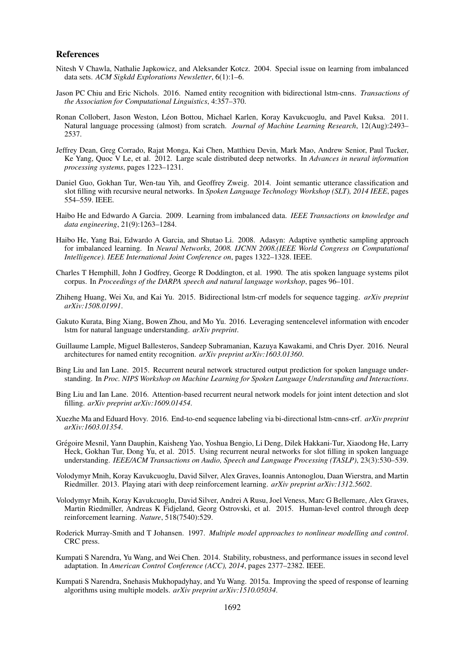#### References

- Nitesh V Chawla, Nathalie Japkowicz, and Aleksander Kotcz. 2004. Special issue on learning from imbalanced data sets. *ACM Sigkdd Explorations Newsletter*, 6(1):1–6.
- Jason PC Chiu and Eric Nichols. 2016. Named entity recognition with bidirectional lstm-cnns. *Transactions of the Association for Computational Linguistics*, 4:357–370.
- Ronan Collobert, Jason Weston, Leon Bottou, Michael Karlen, Koray Kavukcuoglu, and Pavel Kuksa. 2011. ´ Natural language processing (almost) from scratch. *Journal of Machine Learning Research*, 12(Aug):2493– 2537.
- Jeffrey Dean, Greg Corrado, Rajat Monga, Kai Chen, Matthieu Devin, Mark Mao, Andrew Senior, Paul Tucker, Ke Yang, Quoc V Le, et al. 2012. Large scale distributed deep networks. In *Advances in neural information processing systems*, pages 1223–1231.
- Daniel Guo, Gokhan Tur, Wen-tau Yih, and Geoffrey Zweig. 2014. Joint semantic utterance classification and slot filling with recursive neural networks. In *Spoken Language Technology Workshop (SLT), 2014 IEEE*, pages 554–559. IEEE.
- Haibo He and Edwardo A Garcia. 2009. Learning from imbalanced data. *IEEE Transactions on knowledge and data engineering*, 21(9):1263–1284.
- Haibo He, Yang Bai, Edwardo A Garcia, and Shutao Li. 2008. Adasyn: Adaptive synthetic sampling approach for imbalanced learning. In *Neural Networks, 2008. IJCNN 2008.(IEEE World Congress on Computational Intelligence). IEEE International Joint Conference on*, pages 1322–1328. IEEE.
- Charles T Hemphill, John J Godfrey, George R Doddington, et al. 1990. The atis spoken language systems pilot corpus. In *Proceedings of the DARPA speech and natural language workshop*, pages 96–101.
- Zhiheng Huang, Wei Xu, and Kai Yu. 2015. Bidirectional lstm-crf models for sequence tagging. *arXiv preprint arXiv:1508.01991*.
- Gakuto Kurata, Bing Xiang, Bowen Zhou, and Mo Yu. 2016. Leveraging sentencelevel information with encoder lstm for natural language understanding. *arXiv preprint*.
- Guillaume Lample, Miguel Ballesteros, Sandeep Subramanian, Kazuya Kawakami, and Chris Dyer. 2016. Neural architectures for named entity recognition. *arXiv preprint arXiv:1603.01360*.
- Bing Liu and Ian Lane. 2015. Recurrent neural network structured output prediction for spoken language understanding. In *Proc. NIPS Workshop on Machine Learning for Spoken Language Understanding and Interactions*.
- Bing Liu and Ian Lane. 2016. Attention-based recurrent neural network models for joint intent detection and slot filling. *arXiv preprint arXiv:1609.01454*.
- Xuezhe Ma and Eduard Hovy. 2016. End-to-end sequence labeling via bi-directional lstm-cnns-crf. *arXiv preprint arXiv:1603.01354*.
- Gregoire Mesnil, Yann Dauphin, Kaisheng Yao, Yoshua Bengio, Li Deng, Dilek Hakkani-Tur, Xiaodong He, Larry ´ Heck, Gokhan Tur, Dong Yu, et al. 2015. Using recurrent neural networks for slot filling in spoken language understanding. *IEEE/ACM Transactions on Audio, Speech and Language Processing (TASLP)*, 23(3):530–539.
- Volodymyr Mnih, Koray Kavukcuoglu, David Silver, Alex Graves, Ioannis Antonoglou, Daan Wierstra, and Martin Riedmiller. 2013. Playing atari with deep reinforcement learning. *arXiv preprint arXiv:1312.5602*.
- Volodymyr Mnih, Koray Kavukcuoglu, David Silver, Andrei A Rusu, Joel Veness, Marc G Bellemare, Alex Graves, Martin Riedmiller, Andreas K Fidjeland, Georg Ostrovski, et al. 2015. Human-level control through deep reinforcement learning. *Nature*, 518(7540):529.
- Roderick Murray-Smith and T Johansen. 1997. *Multiple model approaches to nonlinear modelling and control*. CRC press.
- Kumpati S Narendra, Yu Wang, and Wei Chen. 2014. Stability, robustness, and performance issues in second level adaptation. In *American Control Conference (ACC), 2014*, pages 2377–2382. IEEE.
- Kumpati S Narendra, Snehasis Mukhopadyhay, and Yu Wang. 2015a. Improving the speed of response of learning algorithms using multiple models. *arXiv preprint arXiv:1510.05034*.